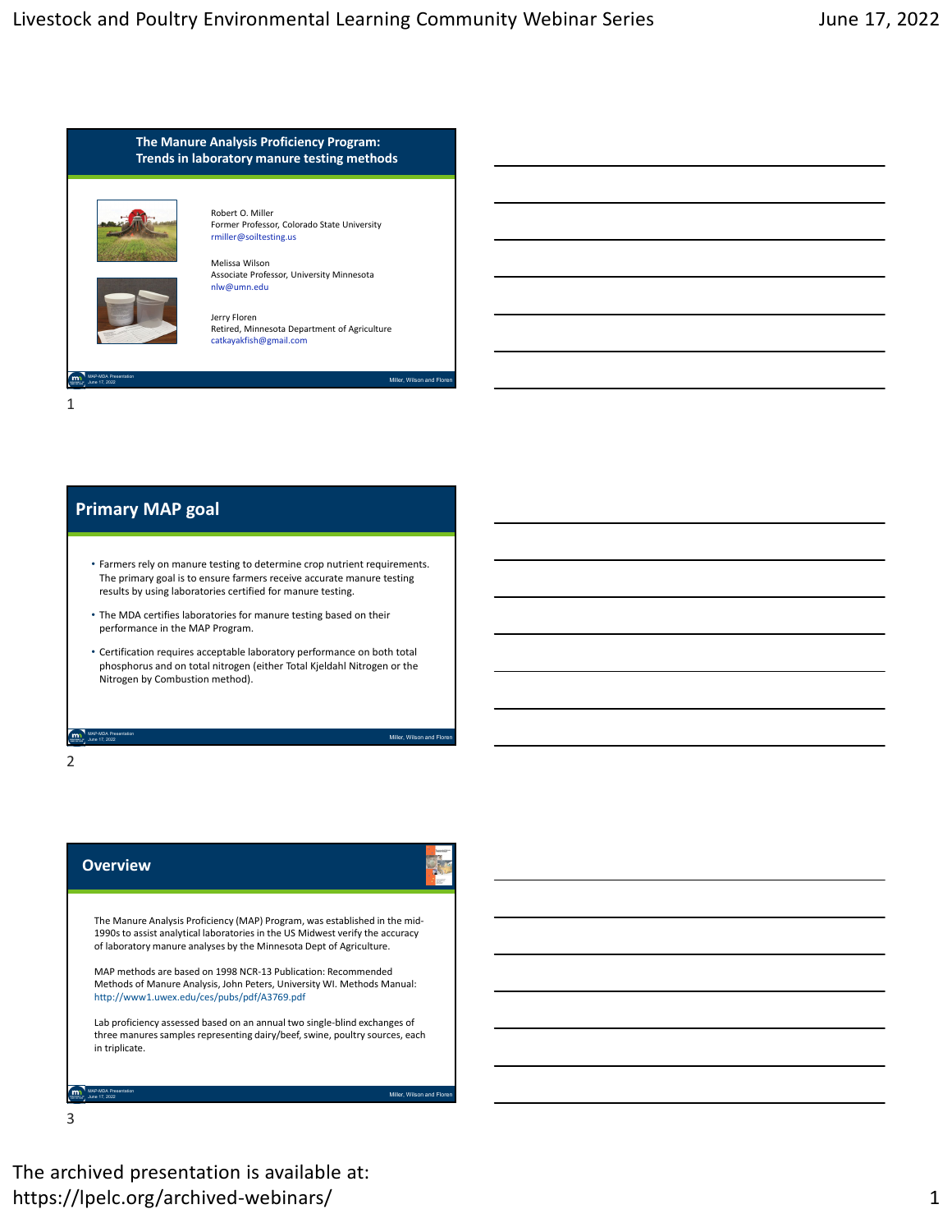

# **Primary MAP goal**

- Farmers rely on manure testing to determine crop nutrient requirements. The primary goal is to ensure farmers receive accurate manure testing results by using laboratories certified for manure testing.
- The MDA certifies laboratories for manure testing based on their performance in the MAP Program.
- Certification requires acceptable laboratory performance on both total phosphorus and on total nitrogen (either Total Kjeldahl Nitrogen or the Nitrogen by Combustion method).

Miller, Wilson and Floren MAP-MDA Presentation June 17, 2022

2

| <b>Overview</b>                                                                                                                                                                                                                                                                                                                                                                                                               |
|-------------------------------------------------------------------------------------------------------------------------------------------------------------------------------------------------------------------------------------------------------------------------------------------------------------------------------------------------------------------------------------------------------------------------------|
| The Manure Analysis Proficiency (MAP) Program, was established in the mid-<br>1990s to assist analytical laboratories in the US Midwest verify the accuracy<br>of laboratory manure analyses by the Minnesota Dept of Agriculture.<br>MAP methods are based on 1998 NCR-13 Publication: Recommended<br>Methods of Manure Analysis, John Peters, University WI. Methods Manual:<br>http://www1.uwex.edu/ces/pubs/pdf/A3769.pdf |
| Lab proficiency assessed based on an annual two single-blind exchanges of<br>three manures samples representing dairy/beef, swine, poultry sources, each<br>in triplicate.                                                                                                                                                                                                                                                    |
| Miller. Wilson and Floren                                                                                                                                                                                                                                                                                                                                                                                                     |

3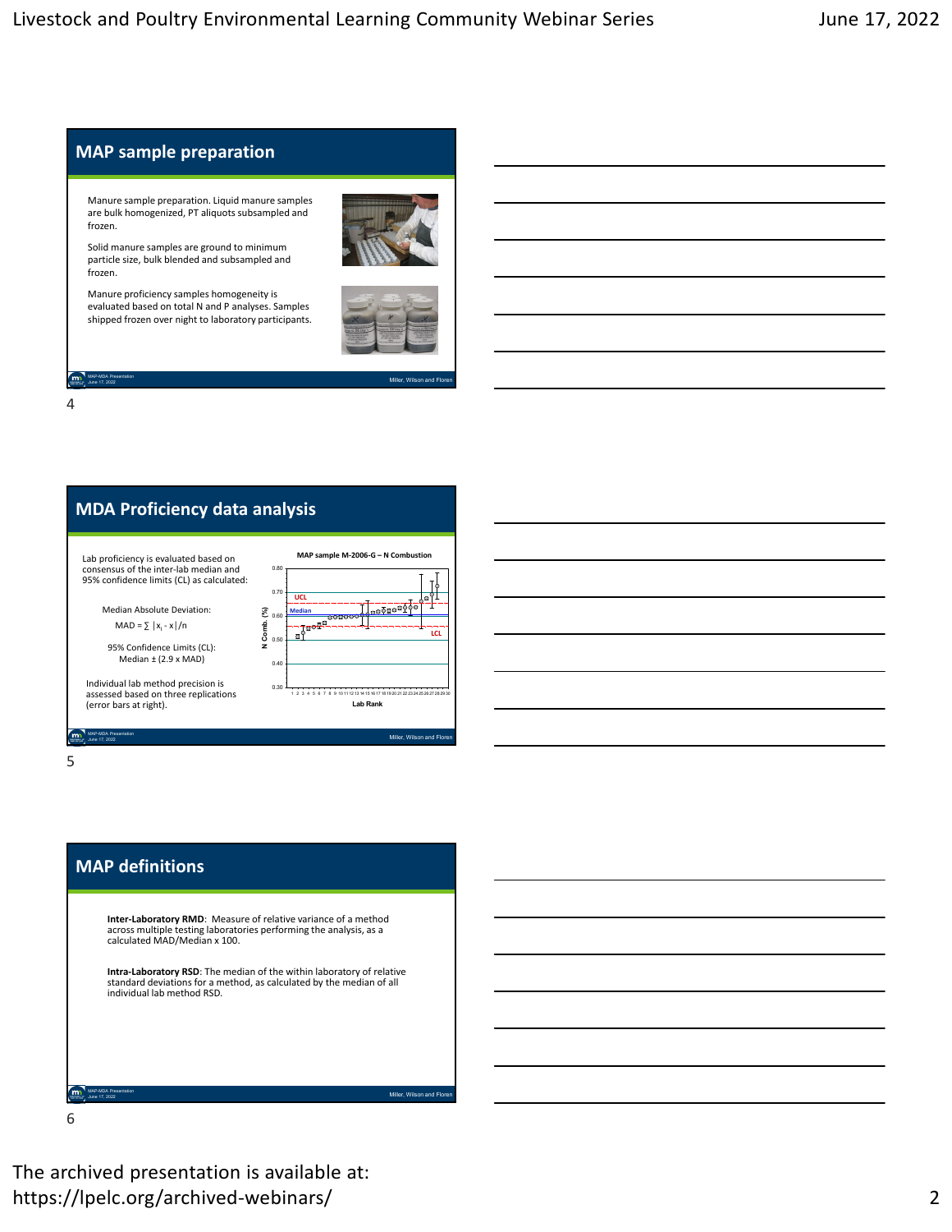

4



5

# **MAP definitions**

**Inter‐Laboratory RMD**: Measure of relative variance of a method across multiple testing laboratories performing the analysis, as a calculated MAD/Median x 100.

**Intra‐Laboratory RSD**: The median of the within laboratory of relative standard deviations for a method, as calculated by the median of all individual lab method RSD.

Miller, Wilson and Flore

6

MAP-MDA Presentation

The archived presentation is available at: https://lpelc.org/archived-webinars/ 2008 2009 2012 2013 2014 2014 2014 2015 2016 2017 2018 2019 201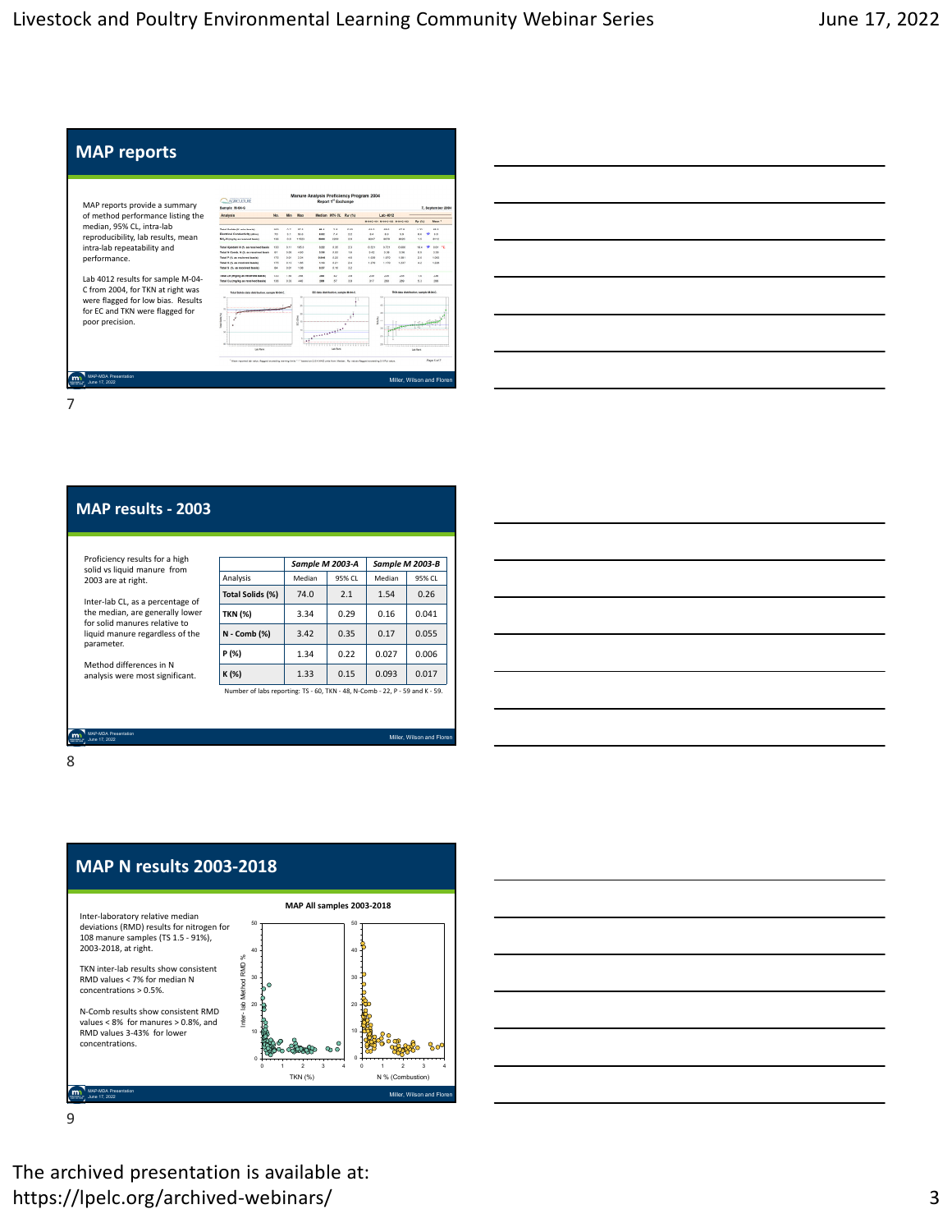

| <u> 1989 - Johann Stein, marwolaethau a bhann an t-Amhair an t-Amhair an t-Amhair an t-Amhair an t-Amhair an t-A</u>  |  |                                   |  |
|-----------------------------------------------------------------------------------------------------------------------|--|-----------------------------------|--|
| <u> 1989 - Jan Barat, margaret eta bat zuen bat zuen bat zuen bat zuen bat zuen zuen bat zuen zuen zuen zuen zuen</u> |  |                                   |  |
| <u> 1989 - Jan Samuel Barbara, margaret e a seu a componente de la propia de la propia de la propia de la propia </u> |  |                                   |  |
| <u> 1989 - Johann Stoff, amerikansk politiker (d. 1989)</u>                                                           |  |                                   |  |
|                                                                                                                       |  |                                   |  |
| <u> 1989 - Johann Barn, mars eta bainar eta idazlea (h. 1989).</u>                                                    |  |                                   |  |
|                                                                                                                       |  | and the control of the control of |  |

### **MAP results ‐ 2003**

Proficiency results for a high solid vs liquid manure from 2003 are at right.

Inter‐lab CL, as a percentage of the median, are generally lower for solid manures relative to liquid manure regardless of the parameter.

Method differences in N analysis were most significant.

|                  | Sample M 2003-A |        | Sample M 2003-B |        |  |
|------------------|-----------------|--------|-----------------|--------|--|
| Analysis         | Median          | 95% CL | Median          | 95% CL |  |
| Total Solids (%) | 74.0            | 2.1    | 1.54            | 0.26   |  |
| TKN (%)          | 3.34            | 0.29   | 0.16            | 0.041  |  |
| N - Comb (%)     | 3.42            | 0.35   | 0.17            | 0.055  |  |
| P(%)             | 1.34            | 0.22   | 0.027           | 0.006  |  |
| K (%)            | 1.33            | 0.15   | 0.093           | 0.017  |  |

Number of labs reporting: TS ‐ 60, TKN ‐ 48, N‐Comb ‐ 22, P ‐ 59 and K ‐ 59.

Miller, Wil

8

MAP-MDA Presentation June 17, 2022



9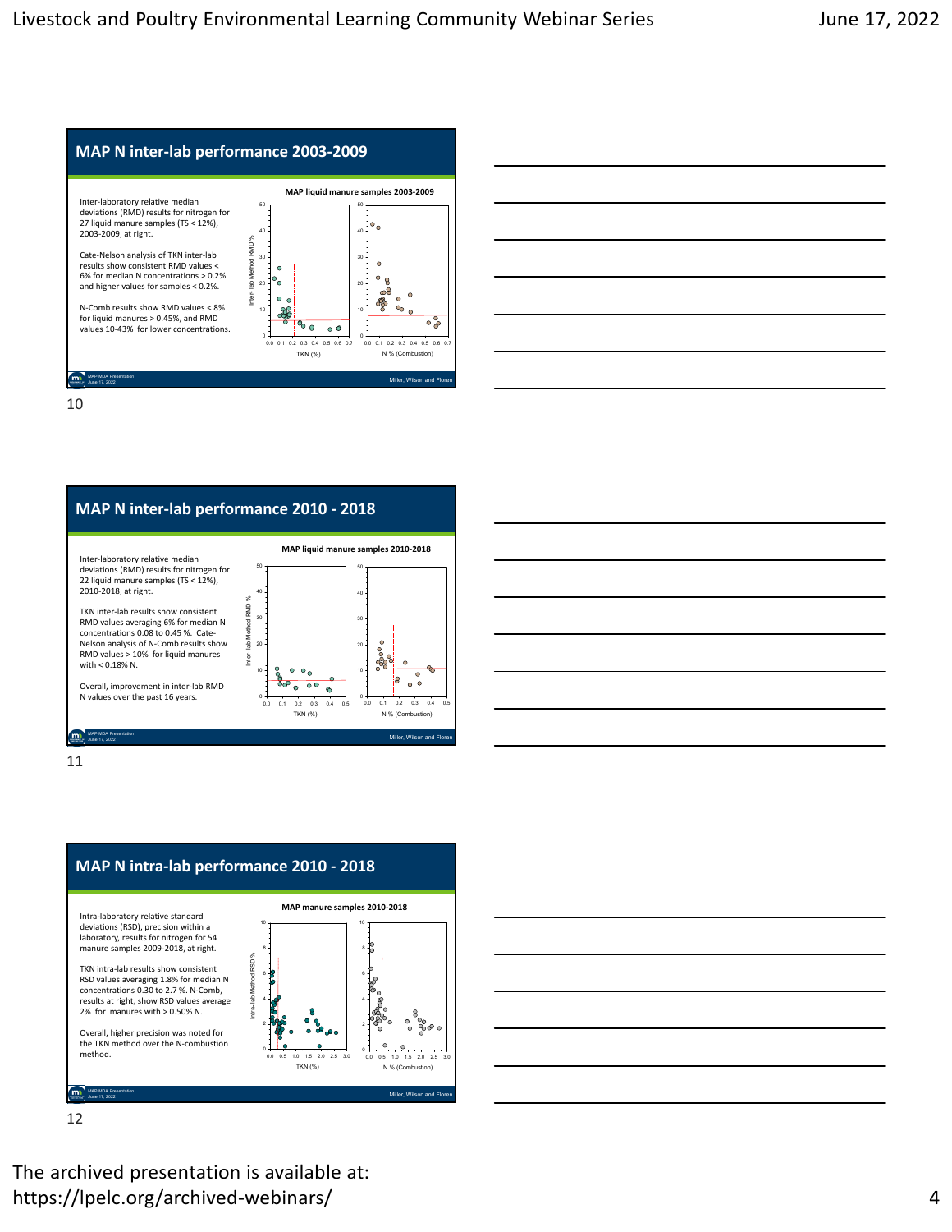



# **MAP N inter‐lab performance 2010 ‐ 2018**







12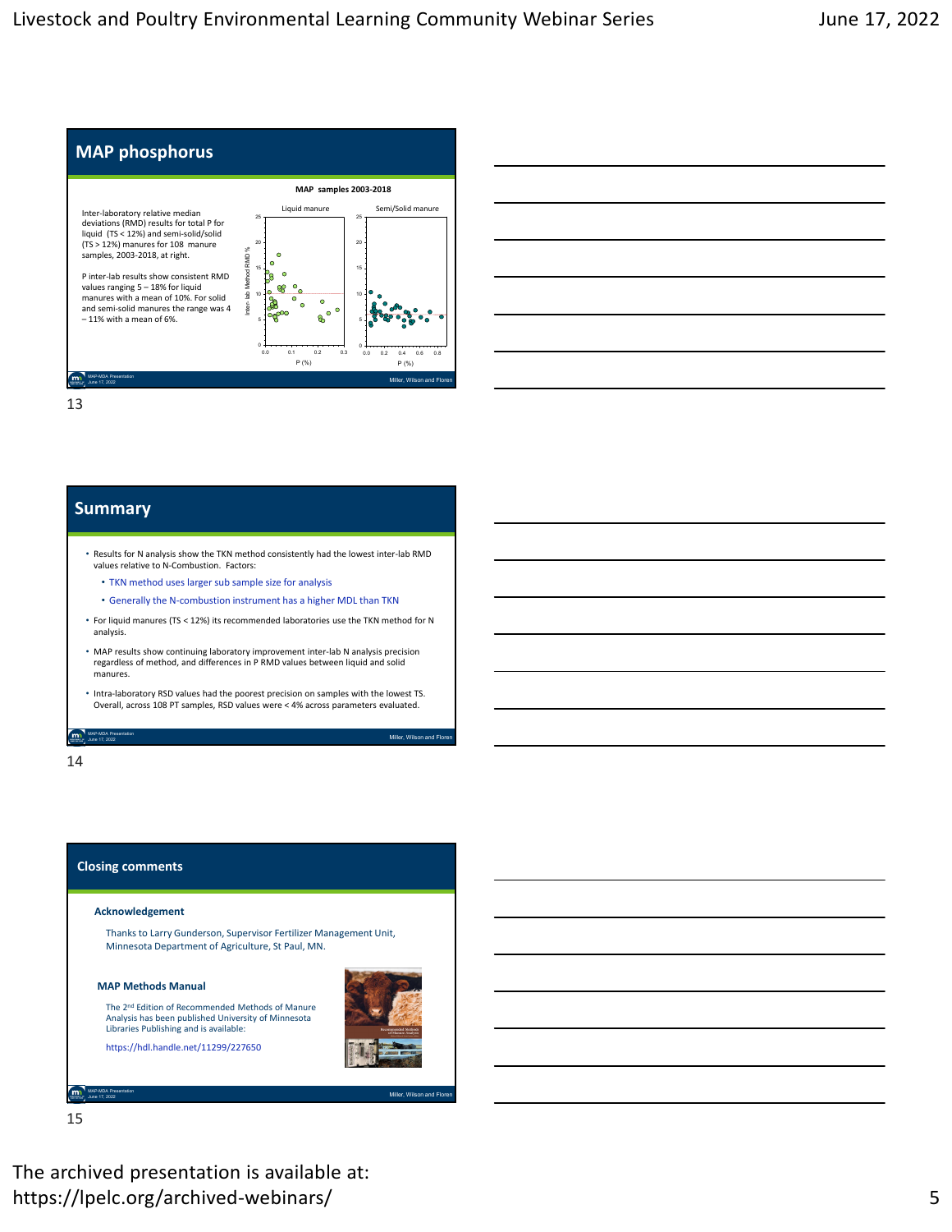



## **Summary**

- Results for N analysis show the TKN method consistently had the lowest inter‐lab RMD values relative to N‐Combustion. Factors:
	- TKN method uses larger sub sample size for analysis
	- Generally the N‐combustion instrument has a higher MDL than TKN
- For liquid manures (TS < 12%) its recommended laboratories use the TKN method for N analysis.
- MAP results show continuing laboratory improvement inter‐lab N analysis precision regardless of method, and differences in P RMD values between liquid and solid manures.
- Intra‐laboratory RSD values had the poorest precision on samples with the lowest TS. Overall, across 108 PT samples, RSD values were < 4% across parameters evaluated.

June 17, 2022 **Miller, Wilson and Floren** Miller, Wilson and Floren Miller, Wilson and Floren Miller, Wilson and Floren

14

MAP-MDA Presentation

#### **Closing comments**

#### **Acknowledgement**

Thanks to Larry Gunderson, Supervisor Fertilizer Management Unit, Minnesota Department of Agriculture, St Paul, MN.

#### **MAP Methods Manual**



Miller, Wilson and Flore

Libraries Publishing and is available: https://hdl.handle.net/11299/227650

15

MAP-MDA Presentation